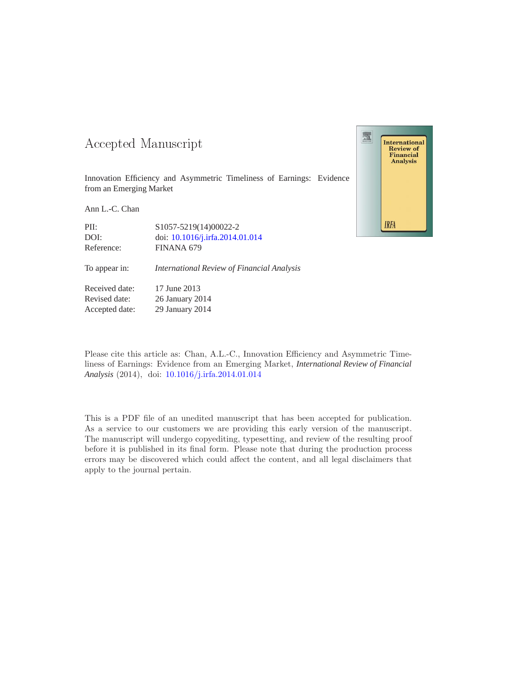### -- -

Innovation Efficiency and Asymmetric Timeliness of Earnings: Evidence from an Emerging Market

Ann L.-C. Chan

Reference: FINANA 679

PII: S1057-5219(14)00022-2 DOI: doi: [10.1016/j.irfa.2014.01.014](http://dx.doi.org/10.1016/j.irfa.2014.01.014)

To appear in: *International Review of Financial Analysis*

Received date: 17 June 2013 Revised date: 26 January 2014 Accepted date: 29 January 2014

Please cite this article as: Chan, A.L.-C., Innovation Efficiency and Asymmetric Timeliness of Earnings: Evidence from an Emerging Market, *International Review of Financial Analysis* (2014), doi: [10.1016/j.irfa.2014.01.014](http://dx.doi.org/10.1016/j.irfa.2014.01.014)

This is a PDF file of an unedited manuscript that has been accepted for publication. As a service to our customers we are providing this early version of the manuscript. The manuscript will undergo copyediting, typesetting, and review of the resulting proof before it is published in its final form. Please note that during the production process errors may be discovered which could affect the content, and all legal disclaimers that apply to the journal pertain.

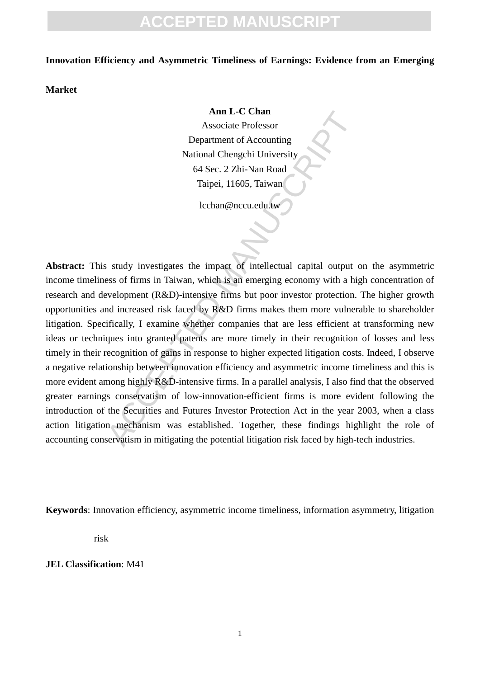# **ACCEPTED MANUSCRIPT**

#### **Innovation Efficiency and Asymmetric Timeliness of Earnings: Evidence from an Emerging**

**Market** 

#### **Ann L-C Chan**

Associate Professor Department of Accounting National Chengchi University 64 Sec. 2 Zhi-Nan Road Taipei, 11605, Taiwan

lcchan@nccu.edu.tw

**Ann L-C Chan**<br>Associate Professor<br>Department of Accounting<br>National Chengelii University<br> $64 \text{ Sec. } 2 \text{ Zhi-Nan Road}$ <br>Taipei, 11605, Taiwan<br>Lechan@necu.edu.tw<br>associated manuscription, Taiwan<br>Lechan@necu.edu.tw<br>associated manus **Abstract:** This study investigates the impact of intellectual capital output on the asymmetric income timeliness of firms in Taiwan, which is an emerging economy with a high concentration of research and development (R&D)-intensive firms but poor investor protection. The higher growth opportunities and increased risk faced by R&D firms makes them more vulnerable to shareholder litigation. Specifically, I examine whether companies that are less efficient at transforming new ideas or techniques into granted patents are more timely in their recognition of losses and less timely in their recognition of gains in response to higher expected litigation costs. Indeed, I observe a negative relationship between innovation efficiency and asymmetric income timeliness and this is more evident among highly R&D-intensive firms. In a parallel analysis, I also find that the observed greater earnings conservatism of low-innovation-efficient firms is more evident following the introduction of the Securities and Futures Investor Protection Act in the year 2003, when a class action litigation mechanism was established. Together, these findings highlight the role of accounting conservatism in mitigating the potential litigation risk faced by high-tech industries.

**Keywords**: Innovation efficiency, asymmetric income timeliness, information asymmetry, litigation

risk

**JEL Classification**: M41